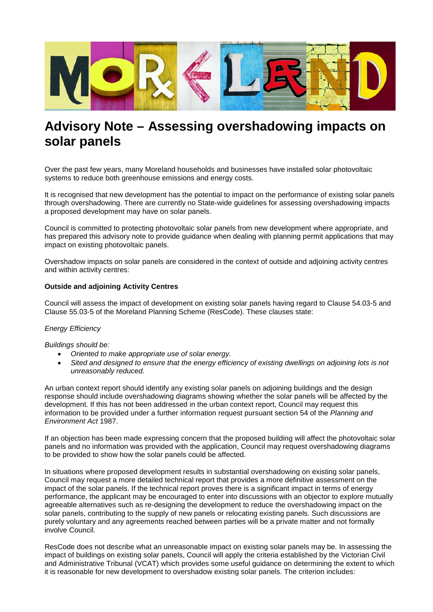

## **Advisory Note – Assessing overshadowing impacts on solar panels**

Over the past few years, many Moreland households and businesses have installed solar photovoltaic systems to reduce both greenhouse emissions and energy costs.

It is recognised that new development has the potential to impact on the performance of existing solar panels through overshadowing. There are currently no State-wide guidelines for assessing overshadowing impacts a proposed development may have on solar panels.

Council is committed to protecting photovoltaic solar panels from new development where appropriate, and has prepared this advisory note to provide guidance when dealing with planning permit applications that may impact on existing photovoltaic panels.

Overshadow impacts on solar panels are considered in the context of outside and adjoining activity centres and within activity centres:

## **Outside and adjoining Activity Centres**

Council will assess the impact of development on existing solar panels having regard to Clause 54.03-5 and Clause 55.03-5 of the Moreland Planning Scheme (ResCode). These clauses state:

## *Energy Efficiency*

*Buildings should be:* 

- *Oriented to make appropriate use of solar energy.*
- *Sited and designed to ensure that the energy efficiency of existing dwellings on adjoining lots is not unreasonably reduced.*

An urban context report should identify any existing solar panels on adjoining buildings and the design response should include overshadowing diagrams showing whether the solar panels will be affected by the development. If this has not been addressed in the urban context report, Council may request this information to be provided under a further information request pursuant section 54 of the *Planning and Environment Act* 1987.

If an objection has been made expressing concern that the proposed building will affect the photovoltaic solar panels and no information was provided with the application, Council may request overshadowing diagrams to be provided to show how the solar panels could be affected.

In situations where proposed development results in substantial overshadowing on existing solar panels, Council may request a more detailed technical report that provides a more definitive assessment on the impact of the solar panels. If the technical report proves there is a significant impact in terms of energy performance, the applicant may be encouraged to enter into discussions with an objector to explore mutually agreeable alternatives such as re-designing the development to reduce the overshadowing impact on the solar panels, contributing to the supply of new panels or relocating existing panels. Such discussions are purely voluntary and any agreements reached between parties will be a private matter and not formally involve Council.

ResCode does not describe what an unreasonable impact on existing solar panels may be. In assessing the impact of buildings on existing solar panels, Council will apply the criteria established by the Victorian Civil and Administrative Tribunal (VCAT) which provides some useful guidance on determining the extent to which it is reasonable for new development to overshadow existing solar panels. The criterion includes: